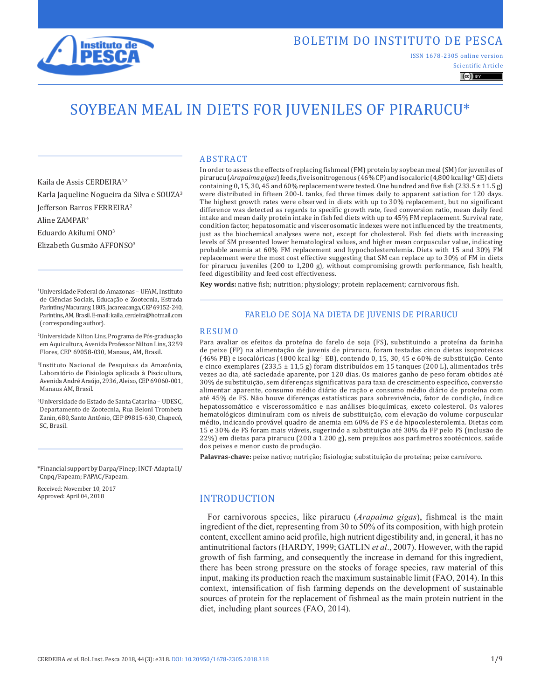

ISSN 1678-2305 online version

Scientific Article  $\left(\mathrm{cc}\right)$  BY

# SOYBEAN MEAL IN DIETS FOR JUVENILES OF PIRARUCU\*

Kaila de Assis CERDEIRA1,2 Karla Jaqueline Nogueira da Silva e SOUZA3 Jefferson Barros FERREIRA2 Aline ZAMPAR4 Eduardo Akifumi ONO3

Elizabeth Gusmão AFFONSO3

1Universidade Federal do Amazonas – UFAM, Instituto de Ciências Sociais, Educação e Zootecnia, Estrada Parintins/Macurany, 1805, Jacareacanga, CEP 69152-240, Parintins, AM, Brasil. E-mail: kaila\_cerdeira@hotmail.com (corresponding author).

- 2Universidade Nilton Lins, Programa de Pós-graduação em Aquicultura, Avenida Professor Nilton Lins, 3259 Flores, CEP 69058-030, Manaus, AM, Brasil.
- 3Instituto Nacional de Pesquisas da Amazônia, Laboratório de Fisiologia aplicada à Piscicultura, Avenida André Araújo, 2936, Aleixo, CEP 69060-001, Manaus AM, Brasil.
- 4Universidade do Estado de Santa Catarina UDESC, Departamento de Zootecnia, Rua Beloni Trombeta Zanin, 680, Santo Antônio, CEP 89815-630, Chapecó, SC, Brasil.

\*Financial support by Darpa/Finep; INCT-Adapta II/ Cnpq/Fapeam; PAPAC/Fapeam.

Received: November 10, 2017 Approved: April 04, 2018

#### ABSTRACT

In order to assess the effects of replacing fishmeal (FM) protein by soybean meal (SM) for juveniles of pirarucu (*Arapaima gigas*) feeds, five isonitrogenous (46% CP) and isocaloric (4,800 kcal kg-1 GE) diets containing 0, 15, 30, 45 and 60% replacement were tested. One hundred and five fish (233.5  $\pm$  11.5 g) were distributed in fifteen 200-L tanks, fed three times daily to apparent satiation for 120 days. The highest growth rates were observed in diets with up to 30% replacement, but no significant difference was detected as regards to specific growth rate, feed conversion ratio, mean daily feed intake and mean daily protein intake in fish fed diets with up to 45% FM replacement. Survival rate, condition factor, hepatosomatic and viscerosomatic indexes were not influenced by the treatments, just as the biochemical analyses were not, except for cholesterol. Fish fed diets with increasing levels of SM presented lower hematological values, and higher mean corpuscular value, indicating probable anemia at 60% FM replacement and hypocholesterolemia. Diets with 15 and 30% FM replacement were the most cost effective suggesting that SM can replace up to 30% of FM in diets for pirarucu juveniles (200 to 1,200 g), without compromising growth performance, fish health, feed digestibility and feed cost effectiveness.

**Key words:** native fish; nutrition; physiology; protein replacement; carnivorous fish.

#### FARELO DE SOJA NA DIETA DE JUVENIS DE PIRARUCU

#### RESUMO

Para avaliar os efeitos da proteína do farelo de soja (FS), substituindo a proteína da farinha de peixe (FP) na alimentação de juvenis de pirarucu, foram testadas cinco dietas isoproteicas (46% PB) e isocalóricas (4800 kcal kg-1 EB), contendo 0, 15, 30, 45 e 60% de substituição. Cento e cinco exemplares (233,5  $\pm$  11,5 g) foram distribuídos em 15 tanques (200 L), alimentados três vezes ao dia, até saciedade aparente, por 120 dias. Os maiores ganho de peso foram obtidos até 30% de substituição, sem diferenças significativas para taxa de crescimento específico, conversão alimentar aparente, consumo médio diário de ração e consumo médio diário de proteína com até 45% de FS. Não houve diferenças estatísticas para sobrevivência, fator de condição, índice hepatossomático e víscerossomático e nas análises bioquímicas, exceto colesterol. Os valores hematológicos diminuíram com os níveis de substituição, com elevação do volume corpuscular médio, indicando provável quadro de anemia em 60% de FS e de hipocolesterolemia. Dietas com 15 e 30% de FS foram mais viáveis, sugerindo a substituição até 30% da FP pelo FS (inclusão de 22%) em dietas para pirarucu (200 a 1.200 g), sem prejuízos aos parâmetros zootécnicos, saúde dos peixes e menor custo de produção.

**Palavras-chave:** peixe nativo; nutrição; fisiologia; substituição de proteína; peixe carnívoro.

# INTRODUCTION

For carnivorous species, like pirarucu (*Arapaima gigas*), fishmeal is the main ingredient of the diet, representing from 30 to 50% of its composition, with high protein content, excellent amino acid profile, high nutrient digestibility and, in general, it has no antinutritional factors (HARDY, 1999; GATLIN *et al*., 2007). However, with the rapid growth of fish farming, and consequently the increase in demand for this ingredient, there has been strong pressure on the stocks of forage species, raw material of this input, making its production reach the maximum sustainable limit (FAO, 2014). In this context, intensification of fish farming depends on the development of sustainable sources of protein for the replacement of fishmeal as the main protein nutrient in the diet, including plant sources (FAO, 2014).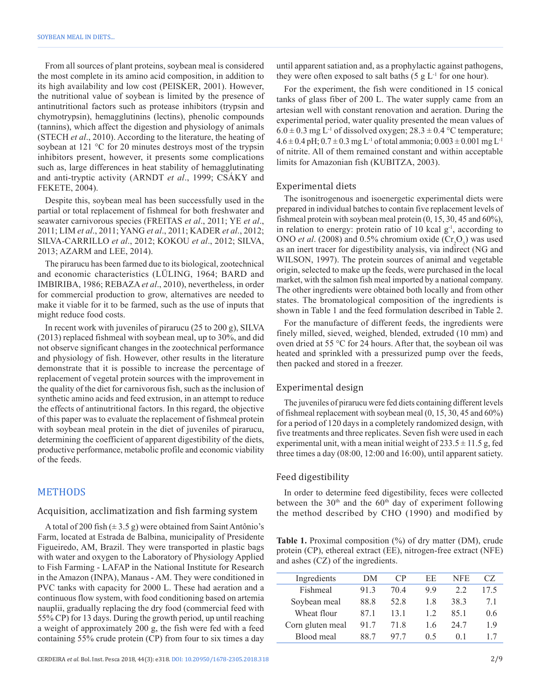From all sources of plant proteins, soybean meal is considered the most complete in its amino acid composition, in addition to its high availability and low cost (PEISKER, 2001). However, the nutritional value of soybean is limited by the presence of antinutritional factors such as protease inhibitors (trypsin and chymotrypsin), hemagglutinins (lectins), phenolic compounds (tannins), which affect the digestion and physiology of animals (STECH *et al*., 2010). According to the literature, the heating of soybean at 121 °C for 20 minutes destroys most of the trypsin inhibitors present, however, it presents some complications such as, large differences in heat stability of hemagglutinating and anti-tryptic activity (ARNDT *et al*., 1999; CSÁKY and FEKETE, 2004).

Despite this, soybean meal has been successfully used in the partial or total replacement of fishmeal for both freshwater and seawater carnivorous species (FREITAS *et al*., 2011; YE *et al*., 2011; LIM *et al*., 2011; YANG *et al*., 2011; KADER *et al*., 2012; SILVA-CARRILLO *et al*., 2012; KOKOU *et al*., 2012; SILVA, 2013; AZARM and LEE, 2014).

The pirarucu has been farmed due to its biological, zootechnical and economic characteristics (LÜLING, 1964; BARD and IMBIRIBA, 1986; REBAZA *et al*., 2010), nevertheless, in order for commercial production to grow, alternatives are needed to make it viable for it to be farmed, such as the use of inputs that might reduce food costs.

In recent work with juveniles of pirarucu (25 to 200 g), SILVA (2013) replaced fishmeal with soybean meal, up to 30%, and did not observe significant changes in the zootechnical performance and physiology of fish. However, other results in the literature demonstrate that it is possible to increase the percentage of replacement of vegetal protein sources with the improvement in the quality of the diet for carnivorous fish, such as the inclusion of synthetic amino acids and feed extrusion, in an attempt to reduce the effects of antinutritional factors. In this regard, the objective of this paper was to evaluate the replacement of fishmeal protein with soybean meal protein in the diet of juveniles of pirarucu, determining the coefficient of apparent digestibility of the diets, productive performance, metabolic profile and economic viability of the feeds.

## METHODS

## Acquisition, acclimatization and fish farming system

A total of 200 fish  $(\pm 3.5 \text{ g})$  were obtained from Saint Antônio's Farm, located at Estrada de Balbina, municipality of Presidente Figueiredo, AM, Brazil. They were transported in plastic bags with water and oxygen to the Laboratory of Physiology Applied to Fish Farming - LAFAP in the National Institute for Research in the Amazon (INPA), Manaus - AM. They were conditioned in PVC tanks with capacity for 2000 L. These had aeration and a continuous flow system, with food conditioning based on artemia nauplii, gradually replacing the dry food (commercial feed with 55% CP) for 13 days. During the growth period, up until reaching a weight of approximately 200 g, the fish were fed with a feed containing 55% crude protein (CP) from four to six times a day

until apparent satiation and, as a prophylactic against pathogens, they were often exposed to salt baths  $(5 \text{ g } L^{-1}$  for one hour).

For the experiment, the fish were conditioned in 15 conical tanks of glass fiber of 200 L. The water supply came from an artesian well with constant renovation and aeration. During the experimental period, water quality presented the mean values of  $6.0 \pm 0.3$  mg L<sup>-1</sup> of dissolved oxygen;  $28.3 \pm 0.4$  °C temperature;  $4.6 \pm 0.4$  pH;  $0.7 \pm 0.3$  mg L<sup>-1</sup> of total ammonia;  $0.003 \pm 0.001$  mg L<sup>-1</sup> of nitrite. All of them remained constant and within acceptable limits for Amazonian fish (KUBITZA, 2003).

#### Experimental diets

The isonitrogenous and isoenergetic experimental diets were prepared in individual batches to contain five replacement levels of fishmeal protein with soybean meal protein (0, 15, 30, 45 and 60%), in relation to energy: protein ratio of 10 kcal  $g^{-1}$ , according to ONO *et al.* (2008) and 0.5% chromium oxide  $(\text{Cr}_2\text{O}_3)$  was used as an inert tracer for digestibility analysis, via indirect (NG and WILSON, 1997). The protein sources of animal and vegetable origin, selected to make up the feeds, were purchased in the local market, with the salmon fish meal imported by a national company. The other ingredients were obtained both locally and from other states. The bromatological composition of the ingredients is shown in Table 1 and the feed formulation described in Table 2.

For the manufacture of different feeds, the ingredients were finely milled, sieved, weighed, blended, extruded (10 mm) and oven dried at 55 °C for 24 hours. After that, the soybean oil was heated and sprinkled with a pressurized pump over the feeds, then packed and stored in a freezer.

## Experimental design

The juveniles of pirarucu were fed diets containing different levels of fishmeal replacement with soybean meal (0, 15, 30, 45 and 60%) for a period of 120 days in a completely randomized design, with five treatments and three replicates. Seven fish were used in each experimental unit, with a mean initial weight of  $233.5 \pm 11.5$  g, fed three times a day (08:00, 12:00 and 16:00), until apparent satiety.

#### Feed digestibility

In order to determine feed digestibility, feces were collected between the  $30<sup>th</sup>$  and the  $60<sup>th</sup>$  day of experiment following the method described by CHO (1990) and modified by

**Table 1.** Proximal composition  $\frac{0}{0}$  of dry matter (DM), crude protein (CP), ethereal extract (EE), nitrogen-free extract (NFE) and ashes (CZ) of the ingredients.

| Ingredients      | DМ   | CP   | EE | NFE  | CZ.  |
|------------------|------|------|----|------|------|
| Fishmeal         | 913  | 704  | 99 | 22   | 17.5 |
| Soybean meal     | 88.8 | 52.8 | 18 | 38.3 | 71   |
| Wheat flour      | 871  | 131  | 12 | 851  | 0.6  |
| Corn gluten meal | 917  | 718  | 16 | 24.7 | 19   |
| Blood meal       | 88.7 | 977  | 05 | ()   | 17   |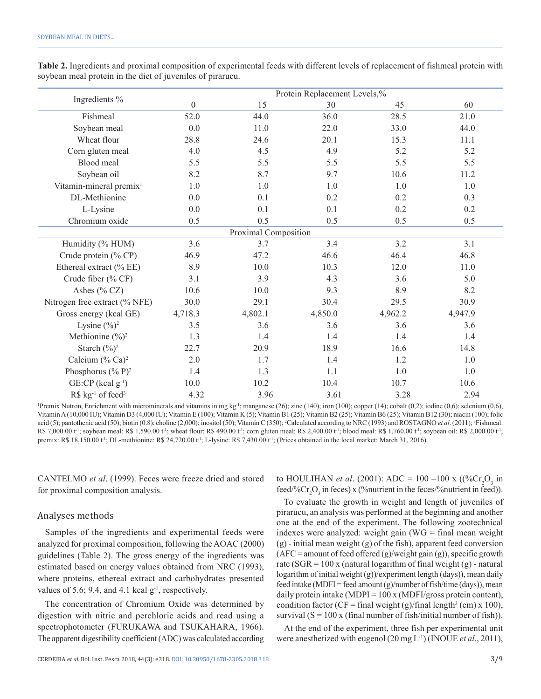|                                            |                  |                      | Protein Replacement Levels,% |         |         |
|--------------------------------------------|------------------|----------------------|------------------------------|---------|---------|
| Ingredients %                              | $\boldsymbol{0}$ | 15                   | 30                           | 45      | 60      |
| Fishmeal                                   | 52.0             | 44.0                 | 36.0                         | 28.5    | 21.0    |
| Soybean meal                               | 0.0              | 11.0                 | 22.0                         | 33.0    | 44.0    |
| Wheat flour                                | 28.8             | 24.6                 | 20.1                         | 15.3    | 11.1    |
| Corn gluten meal                           | 4.0              | 4.5                  | 4.9                          | 5.2     | 5.2     |
| Blood meal                                 | 5.5              | 5.5                  | 5.5                          | 5.5     | 5.5     |
| Soybean oil                                | 8.2              | 8.7                  | 9.7                          | 10.6    | 11.2    |
| Vitamin-mineral premix <sup>1</sup>        | 1.0              | 1.0                  | 1.0                          | 1.0     | 1.0     |
| DL-Methionine                              | 0.0              | 0.1                  | 0.2                          | 0.2     | 0.3     |
| L-Lysine                                   | 0.0              | 0.1                  | 0.1                          | 0.2     | 0.2     |
| Chromium oxide                             | 0.5              | 0.5                  | 0.5                          | 0.5     | 0.5     |
|                                            |                  | Proximal Composition |                              |         |         |
| Humidity (% HUM)                           | 3.6              | 3.7                  | 3.4                          | 3.2     | 3.1     |
| Crude protein (% CP)                       | 46.9             | 47.2                 | 46.6                         | 46.4    | 46.8    |
| Ethereal extract (% EE)                    | 8.9              | 10.0                 | 10.3                         | 12.0    | 11.0    |
| Crude fiber (% CF)                         | 3.1              | 3.9                  | 4.3                          | 3.6     | 5.0     |
| Ashes $(\%$ CZ)                            | 10.6             | 10.0                 | 9.3                          | 8.9     | 8.2     |
| Nitrogen free extract (% NFE)              | 30.0             | 29.1                 | 30.4                         | 29.5    | 30.9    |
| Gross energy (kcal GE)                     | 4,718.3          | 4,802.1              | 4,850.0                      | 4,962.2 | 4,947.9 |
| Lysine $(\frac{6}{6})^2$                   | 3.5              | 3.6                  | 3.6                          | 3.6     | 3.6     |
| Methionine $(\frac{6}{6})^2$               | 1.3              | 1.4                  | 1.4                          | 1.4     | 1.4     |
| Starch $(\frac{9}{6})^2$                   | 22.7             | 20.9                 | 18.9                         | 16.6    | 14.8    |
| Calcium $(\%$ Ca) <sup>2</sup>             | 2.0              | 1.7                  | 1.4                          | 1.2     | 1.0     |
| Phosphorus $({\% P})^2$                    | 1.4              | 1.3                  | 1.1                          | 1.0     | 1.0     |
| $GE$ :CP (kcal $g^{-1}$ )                  | 10.0             | 10.2                 | 10.4                         | 10.7    | 10.6    |
| $RS$ kg <sup>-1</sup> of feed <sup>3</sup> | 4.32             | 3.96                 | 3.61                         | 3.28    | 2.94    |

**Table 2.** Ingredients and proximal composition of experimental feeds with different levels of replacement of fishmeal protein with soybean meal protein in the diet of juveniles of pirarucu.

1 Premix Nutron, Enrichment with microminerals and vitamins in mg kg-1; manganese (26); zinc (140); iron (100); copper (14); cobalt (0,2); iodine (0,6); selenium (0,6), Vitamin A (10,000 IU); Vitamin D3 (4,000 IU); Vitamin E (100); Vitamin K (5); Vitamin B1 (25); Vitamin B2 (25); Vitamin B6 (25); Vitamin B12 (30); niacin (100); folic acid (5); pantothenic acid (50); biotin (0.8); choline (2,000); inositol (50); Vitamin C (350); <sup>2</sup>Calculated according to NRC (1993) and ROSTAGNO *et al.* (2011); <sup>3</sup>Fishmeal: R\$ 7,000.00 t<sup>-1</sup>; soybean meal: R\$ 1,590.00 t<sup>-1</sup>; wheat flour: R\$ 490.00 t<sup>-1</sup>; corn gluten meal: R\$ 2,400.00 t<sup>-1</sup>; blood meal: R\$ 1,760.00 t<sup>-1</sup>; soybean oil: R\$ 2,000.00 t<sup>-1</sup>; premix: R\$ 18,150.00 t<sup>1</sup>; DL-methionine: R\$ 24,720.00 t<sup>1</sup>; L-lysine: R\$ 7,430.00 t<sup>1</sup>; (Prices obtained in the local market: March 31, 2016).

CANTELMO *et al*. (1999). Feces were freeze dried and stored for proximal composition analysis.

# Analyses methods

Samples of the ingredients and experimental feeds were analyzed for proximal composition, following the AOAC (2000) guidelines (Table 2). The gross energy of the ingredients was estimated based on energy values obtained from NRC (1993), where proteins, ethereal extract and carbohydrates presented values of 5.6; 9.4, and 4.1 kcal  $g^{-1}$ , respectively.

The concentration of Chromium Oxide was determined by digestion with nitric and perchloric acids and read using a spectrophotometer (FURUKAWA and TSUKAHARA, 1966). The apparent digestibility coefficient (ADC) was calculated according to HOULIHAN *et al.* (2001): ADC = 100 –100 x ((%Cr<sub>2</sub>O<sub>3</sub> in feed/% $Cr_2O_3$  in feces) x (%nutrient in the feces/%nutrient in feed)).

To evaluate the growth in weight and length of juveniles of pirarucu, an analysis was performed at the beginning and another one at the end of the experiment. The following zootechnical indexes were analyzed: weight gain (WG = final mean weight (g) - initial mean weight (g) of the fish), apparent feed conversion  $(AFC = amount of feed offered (g)/weight gain (g)), specific growth$ rate (SGR =  $100 x$  (natural logarithm of final weight (g) - natural logarithm of initial weight (g))/experiment length (days)), mean daily feed intake (MDFI = feed amount  $(g)/number$  of fish/time (days)), mean daily protein intake (MDPI =  $100 \times (MDFI/gross protein content)$ ), condition factor (CF = final weight (g)/final length<sup>3</sup> (cm) x 100), survival  $(S = 100 \times (final number of fish/initial number of fish)).$ 

At the end of the experiment, three fish per experimental unit were anesthetized with eugenol (20 mg L-1) (INOUE *et al*., 2011),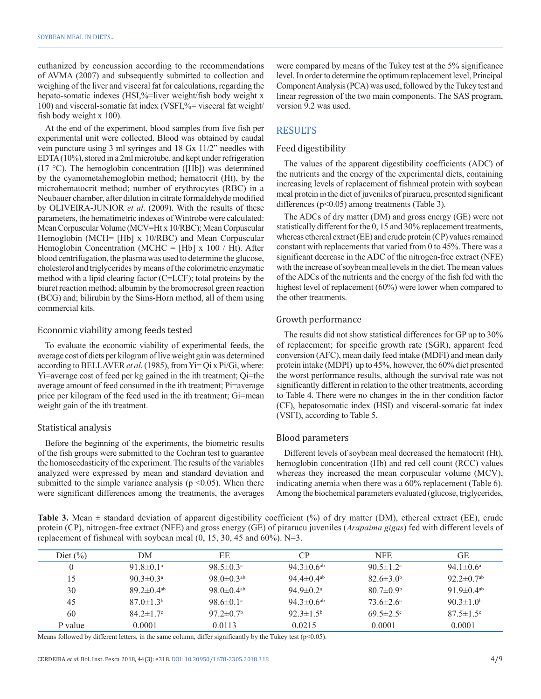euthanized by concussion according to the recommendations of AVMA (2007) and subsequently submitted to collection and weighing of the liver and visceral fat for calculations, regarding the hepato-somatic indexes (HSI,%=liver weight/fish body weight x 100) and visceral-somatic fat index (VSFI,%= visceral fat weight/ fish body weight x 100).

At the end of the experiment, blood samples from five fish per experimental unit were collected. Blood was obtained by caudal vein puncture using 3 ml syringes and 18 Gx 11/2" needles with EDTA (10%), stored in a 2ml microtube, and kept under refrigeration (17 °C). The hemoglobin concentration ([Hb]) was determined by the cyanometahemoglobin method; hematocrit (Ht), by the microhematocrit method; number of erythrocytes (RBC) in a Neubauer chamber, after dilution in citrate formaldehyde modified by OLIVEIRA-JUNIOR *et al*. (2009). With the results of these parameters, the hematimetric indexes of Wintrobe were calculated: Mean Corpuscular Volume (MCV=Ht x 10/RBC); Mean Corpuscular Hemoglobin (MCH= [Hb] x 10/RBC) and Mean Corpuscular Hemoglobin Concentration (MCHC =  $[Hb]$  x 100 / Ht). After blood centrifugation, the plasma was used to determine the glucose, cholesterol and triglycerides by means of the colorimetric enzymatic method with a lipid clearing factor (C=LCF); total proteins by the biuret reaction method; albumin by the bromocresol green reaction (BCG) and; bilirubin by the Sims-Horn method, all of them using commercial kits.

#### Economic viability among feeds tested

To evaluate the economic viability of experimental feeds, the average cost of diets per kilogram of live weight gain was determined according to BELLAVER*et al*. (1985), from Yi= Qi x Pi/Gi, where: Yi=average cost of feed per kg gained in the ith treatment; Qi=the average amount of feed consumed in the ith treatment; Pi=average price per kilogram of the feed used in the ith treatment; Gi=mean weight gain of the ith treatment.

## Statistical analysis

Before the beginning of the experiments, the biometric results of the fish groups were submitted to the Cochran test to guarantee the homoscedasticity of the experiment. The results of the variables analyzed were expressed by mean and standard deviation and submitted to the simple variance analysis ( $p \le 0.05$ ). When there were significant differences among the treatments, the averages were compared by means of the Tukey test at the 5% significance level. In order to determine the optimum replacement level, Principal Component Analysis (PCA) was used, followed by the Tukey test and linear regression of the two main components. The SAS program, version 9.2 was used.

## **RESULTS**

## Feed digestibility

The values of the apparent digestibility coefficients (ADC) of the nutrients and the energy of the experimental diets, containing increasing levels of replacement of fishmeal protein with soybean meal protein in the diet of juveniles of pirarucu, presented significant differences (p<0.05) among treatments (Table 3).

The ADCs of dry matter (DM) and gross energy (GE) were not statistically different for the 0, 15 and 30% replacement treatments, whereas ethereal extract (EE) and crude protein (CP) values remained constant with replacements that varied from 0 to 45%. There was a significant decrease in the ADC of the nitrogen-free extract (NFE) with the increase of soybean meal levels in the diet. The mean values of the ADCs of the nutrients and the energy of the fish fed with the highest level of replacement (60%) were lower when compared to the other treatments.

## Growth performance

The results did not show statistical differences for GP up to 30% of replacement; for specific growth rate (SGR), apparent feed conversion (AFC), mean daily feed intake (MDFI) and mean daily protein intake (MDPI) up to 45%, however, the 60% diet presented the worst performance results, although the survival rate was not significantly different in relation to the other treatments, according to Table 4. There were no changes in the in ther condition factor (CF), hepatosomatic index (HSI) and visceral-somatic fat index (VSFI), according to Table 5.

#### Blood parameters

Different levels of soybean meal decreased the hematocrit (Ht), hemoglobin concentration (Hb) and red cell count (RCC) values whereas they increased the mean corpuscular volume (MCV), indicating anemia when there was a 60% replacement (Table 6). Among the biochemical parameters evaluated (glucose, triglycerides,

**Table 3.** Mean  $\pm$  standard deviation of apparent digestibility coefficient (%) of dry matter (DM), ethereal extract (EE), crude protein (CP), nitrogen-free extract (NFE) and gross energy (GE) of pirarucu juveniles (*Arapaima gigas*) fed with different levels of replacement of fishmeal with soybean meal (0, 15, 30, 45 and 60%). N=3.

| Diet $(\% )$ | DМ                           | ЕE                           | CP                           | <b>NFE</b>                  | GЕ                           |
|--------------|------------------------------|------------------------------|------------------------------|-----------------------------|------------------------------|
|              | 91.8 $\pm$ 0.1 <sup>a</sup>  | 98.5 $\pm$ 0.3 <sup>a</sup>  | 94.3 $\pm$ 0.6 <sup>ab</sup> | 90.5 $\pm$ 1.2 <sup>a</sup> | 94.1 $\pm$ 0.6 <sup>a</sup>  |
| 15           | 90 $3\pm 0.3^{\circ}$        | 98.0 $\pm$ 0.3 <sup>ab</sup> | 94 4 $\pm$ 0 4 <sup>ab</sup> | $82.6 \pm 3.0^b$            | 92.2 $\pm$ 0.7 <sup>ab</sup> |
| 30           | 89 2 $\pm$ 0 4 <sup>ab</sup> | 98 $0\pm 0.4$ <sup>ab</sup>  | 94 9 $\pm$ 0 2 <sup>a</sup>  | $807\pm0.9b$                | 91 9 $\pm$ 0 4 <sup>ab</sup> |
| 45           | $87.0 \pm 1.3^{\circ}$       | 98.6 $\pm$ 0.1 <sup>a</sup>  | 94.3 $\pm$ 0.6 <sup>ab</sup> | $73.6 \pm 2.6$              | 90.3 $\pm$ 1.0 <sup>b</sup>  |
| 60           | $84.2 \pm 1.7$ °             | $97.2 \pm 0.7$ <sup>b</sup>  | $92.3 \pm 1.5^{\circ}$       | $69.5 \pm 2.5$ °            | $87.5 \pm 1.5$ °             |
| P value      | 0.0001                       | 0.0113                       | 0.0215                       | 0.0001                      | 0.0001                       |

Means followed by different letters, in the same column, differ significantly by the Tukey test ( $p$ <0.05).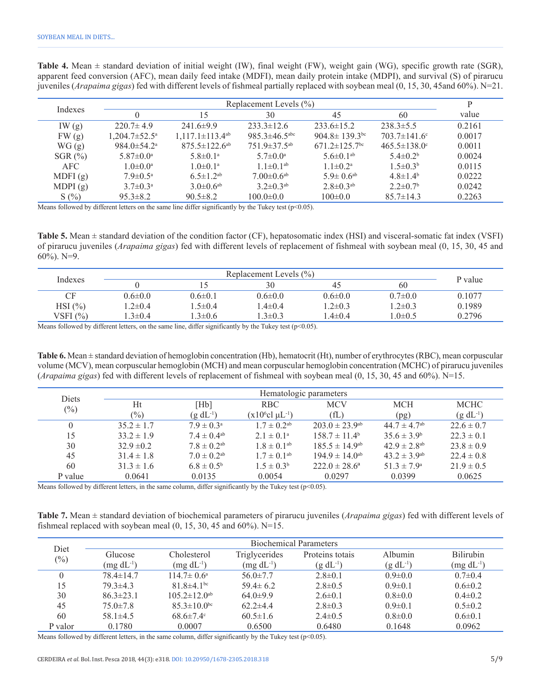| Replacement Levels $(\% )$<br>Indexes |                                 |                                   |                                 |                                 | P                          |        |
|---------------------------------------|---------------------------------|-----------------------------------|---------------------------------|---------------------------------|----------------------------|--------|
|                                       |                                 | 15                                | 30                              | 45                              | 60                         | value  |
| IW(g)                                 | $220.7 \pm 4.9$                 | $241.6 \pm 9.9$                   | $233.3 \pm 12.6$                | $233.6 \pm 15.2$                | $238.3 \pm 5.5$            | 0.2161 |
| FW(g)                                 | $1,204.7 \pm 52.5^{\mathrm{a}}$ | $1,117.1 \pm 113.4$ <sup>ab</sup> | $985.3 \pm 46.5$ <sup>abc</sup> | $904.8 \pm 139.3$ <sup>bc</sup> | $703.7 \pm 141.6$ °        | 0.0017 |
| WG(g)                                 | $984.0 \pm 54.2^{\circ}$        | $875.5 \pm 122.6^{ab}$            | $751.9 \pm 37.5^{ab}$           | $671.2 \pm 125.7$ <sup>bc</sup> | $465.5 \pm 138.0$ °        | 0.0011 |
| SGR $(\%)$                            | $5.87 \pm 0.0^{\circ}$          | $5.8 \pm 0.1^{\circ}$             | $5.7 \pm 0.0^{\circ}$           | 5.6 $\pm$ 0.1 <sup>ab</sup>     | $5.4 \pm 0.2^b$            | 0.0024 |
| <b>AFC</b>                            | $1.0 \pm 0.0^a$                 | $1.0 \pm 0.1^{\circ}$             | $1.1\pm 0.1$ <sup>ab</sup>      | $1.1 \pm 0.2^a$                 | $1.5 \pm 0.3^b$            | 0.0115 |
| MDFI(g)                               | $7.9 \pm 0.5^{\text{a}}$        | $6.5 \pm 1.2^{ab}$                | $7.00 \pm 0.6$ <sup>ab</sup>    | $5.9 \pm 0.6$ <sup>ab</sup>     | $4.8 \pm 1.4^b$            | 0.0222 |
| MDPI $(g)$                            | $3.7 \pm 0.3^{\text{a}}$        | $3.0\pm 0.6$ <sup>ab</sup>        | $3.2 \pm 0.3$ <sup>ab</sup>     | $2.8 \pm 0.3$ <sup>ab</sup>     | $2.2 \pm 0.7$ <sup>b</sup> | 0.0242 |
| S(%)                                  | $95.3 \pm 8.2$                  | $90.5 \pm 8.2$                    | $100.0 \pm 0.0$                 | $100 \pm 0.0$                   | $85.7 \pm 14.3$            | 0.2263 |

**Table 4.** Mean ± standard deviation of initial weight (IW), final weight (FW), weight gain (WG), specific growth rate (SGR), apparent feed conversion (AFC), mean daily feed intake (MDFI), mean daily protein intake (MDPI), and survival (S) of pirarucu juveniles (*Arapaima gigas*) fed with different levels of fishmeal partially replaced with soybean meal (0, 15, 30, 45and 60%). N=21.

Means followed by different letters on the same line differ significantly by the Tukey test ( $p<0.05$ ).

**Table 5.** Mean ± standard deviation of the condition factor (CF), hepatosomatic index (HSI) and visceral-somatic fat index (VSFI) of pirarucu juveniles (*Arapaima gigas*) fed with different levels of replacement of fishmeal with soybean meal (0, 15, 30, 45 and 60%). N=9.

|              | Replacement Levels $(\% )$ |               |               |               |               |         |
|--------------|----------------------------|---------------|---------------|---------------|---------------|---------|
| Indexes      |                            |               | 30            | 45            | 60            | P value |
| CF.          | $0.6 \pm 0.0$              | $0.6 \pm 0.1$ | $0.6 \pm 0.0$ | $0.6 \pm 0.0$ | $0.7 \pm 0.0$ | 0.1077  |
| $HSI$ $(\%)$ | $-2\pm 0.4$                | $1.5 \pm 0.4$ | $4\pm 0.4$    | $2\pm 0.3$    | $1.2 \pm 0.3$ | 0.1989  |
| VSFI $(\% )$ | $1.3 \pm 0.4$              | $1.3 \pm 0.6$ | $3\pm0.3$     | $4\pm 0.4$    | $1.0\pm 0.5$  | 0.2796  |

Means followed by different letters, on the same line, differ significantly by the Tukey test ( $p<0.05$ ).

**Table 6.** Mean ± standard deviation of hemoglobin concentration (Hb), hematocrit (Ht), number of erythrocytes (RBC), mean corpuscular volume (MCV), mean corpuscular hemoglobin (MCH) and mean corpuscular hemoglobin concentration (MCHC) of pirarucu juveniles (*Arapaima gigas*) fed with different levels of replacement of fishmeal with soybean meal (0, 15, 30, 45 and 60%). N=15.

| <b>Diets</b> | Hematologic parameters |                             |                                    |                                |                              |                  |
|--------------|------------------------|-----------------------------|------------------------------------|--------------------------------|------------------------------|------------------|
| $(\%)$       | Ht                     | [Hb]                        | <b>RBC</b>                         | <b>MCV</b>                     | <b>MCH</b>                   | <b>MCHC</b>      |
|              | $\frac{1}{2}$          | $(g dL^{-1})$               | $(x106$ cl $\mu$ L <sup>-1</sup> ) | f(L)                           | (pg)                         | $(g \, dL^{-1})$ |
|              | $35.2 \pm 1.7$         | $7.9 \pm 0.3^{\circ}$       | $1.7 \pm 0.2^{ab}$                 | $203.0 \pm 23.9$ <sup>ab</sup> | $44.7 \pm 4.7$ <sup>ab</sup> | $22.6 \pm 0.7$   |
| 15           | $33.2 \pm 1.9$         | $7.4 \pm 0.4^{\text{ab}}$   | $2.1 \pm 0.1^{\circ}$              | $158.7 \pm 11.4^b$             | $35.6 \pm 3.9^b$             | $22.3 \pm 0.1$   |
| 30           | $32.9 \pm 0.2$         | $7.8 \pm 0.2^{ab}$          | $1.8 \pm 0.1^{ab}$                 | $185.5 \pm 14.9$ <sup>ab</sup> | $42.9 \pm 2.8$ <sup>ab</sup> | $23.8 \pm 0.9$   |
| 45           | $31.4 \pm 1.8$         | $7.0 \pm 0.2$ <sup>ab</sup> | $1.7 \pm 0.1^{ab}$                 | $194.9 \pm 14.0^{ab}$          | $43.2 \pm 3.9^{ab}$          | $22.4 \pm 0.8$   |
| 60           | $31.3 \pm 1.6$         | $6.8 \pm 0.5^{\rm b}$       | $1.5 \pm 0.3^b$                    | $222.0 \pm 28.6^{\circ}$       | $51.3 \pm 7.9^{\circ}$       | $21.9 \pm 0.5$   |
| P value      | 0.0641                 | 0.0135                      | 0.0054                             | 0.0297                         | 0.0399                       | 0.0625           |

Means followed by different letters, in the same column, differ significantly by the Tukey test ( $p<0.05$ ).

**Table 7.** Mean ± standard deviation of biochemical parameters of pirarucu juveniles (*Arapaima gigas*) fed with different levels of fishmeal replaced with soybean meal  $(0, 15, 30, 45, 40, 60\%)$ . N=15.

| Diet                       |                 |                            |                      | <b>Biochemical Parameters</b> |               |                  |
|----------------------------|-----------------|----------------------------|----------------------|-------------------------------|---------------|------------------|
| $\left(\frac{0}{0}\right)$ | Glucose         | Cholesterol                | <b>Triglycerides</b> | Proteins totals               | Albumin       | <b>Bilirubin</b> |
|                            | $(mg dL^{-1})$  | $(mg dL^{-1})$             | $(mg dL^{-1})$       | $(g dL^{-1})$                 | $(g dL^{-1})$ | $(mg dL^{-1})$   |
| $\theta$                   | $78.4 \pm 14.7$ | $114.7 \pm 0.6^{\circ}$    | $56.0 \pm 7.7$       | $2.8 \pm 0.1$                 | $0.9 \pm 0.0$ | $0.7 \pm 0.4$    |
| 15                         | $79.3 \pm 4.3$  | $81.8\pm4.1$ <sup>bc</sup> | $59.4 \pm 6.2$       | $2.8 \pm 0.5$                 | $0.9 \pm 0.1$ | $0.6 \pm 0.2$    |
| 30                         | $86.3 \pm 23.1$ | $105.2 \pm 12.0^{ab}$      | $64.0\pm9.9$         | $2.6 \pm 0.1$                 | $0.8 \pm 0.0$ | $0.4 \pm 0.2$    |
| 45                         | $75.0 \pm 7.8$  | $85.3 \pm 10.0^{bc}$       | $62.2 \pm 4.4$       | $2.8 \pm 0.3$                 | $0.9 \pm 0.1$ | $0.5 \pm 0.2$    |
| 60                         | $58.1 \pm 4.5$  | $68.6 \pm 7.4$ °           | $60.5 \pm 1.6$       | $2.4 \pm 0.5$                 | $0.8 \pm 0.0$ | $0.6 \pm 0.1$    |
| P valor                    | 0.1780          | 0.0007                     | 0.6500               | 0.6480                        | 0.1648        | 0.0962           |

Means followed by different letters, in the same column, differ significantly by the Tukey test ( $p$ <0.05).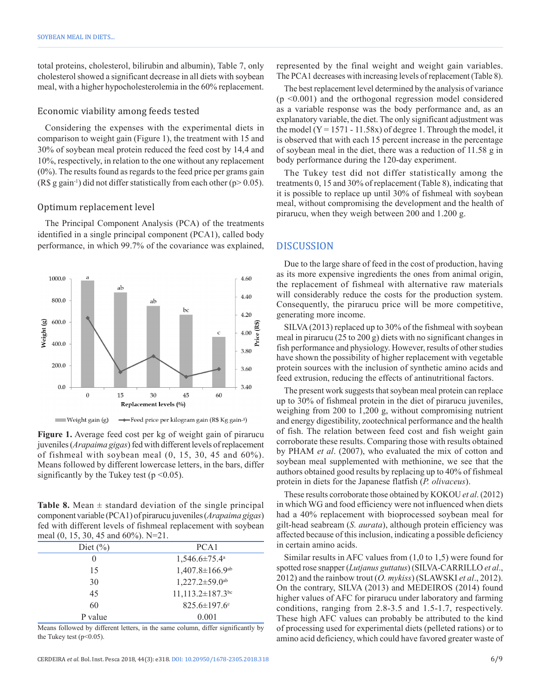total proteins, cholesterol, bilirubin and albumin), Table 7, only cholesterol showed a significant decrease in all diets with soybean meal, with a higher hypocholesterolemia in the 60% replacement.

#### Economic viability among feeds tested

Considering the expenses with the experimental diets in comparison to weight gain (Figure 1), the treatment with 15 and 30% of soybean meal protein reduced the feed cost by 14,4 and 10%, respectively, in relation to the one without any replacement (0%). The results found as regards to the feed price per grams gain (R\$ g gain<sup>-1</sup>) did not differ statistically from each other ( $p > 0.05$ ).

#### Optimum replacement level

The Principal Component Analysis (PCA) of the treatments identified in a single principal component (PCA1), called body performance, in which 99.7% of the covariance was explained,



**Figure 1.** Average feed cost per kg of weight gain of pirarucu juveniles (*Arapaima gigas*) fed with different levels of replacement of fishmeal with soybean meal  $(0, 15, 30, 45, 40, 60\%)$ . Means followed by different lowercase letters, in the bars, differ significantly by the Tukey test ( $p \le 0.05$ ).

**Table 8.** Mean  $\pm$  standard deviation of the single principal component variable (PCA1) of pirarucu juveniles (*Arapaima gigas*) fed with different levels of fishmeal replacement with soybean meal (0, 15, 30, 45 and 60%). N=21.

| PCA <sub>1</sub><br>$1,546.6 \pm 75.4^{\circ}$ |
|------------------------------------------------|
|                                                |
|                                                |
| $1,407.8 \pm 166.9$ <sup>ab</sup>              |
| $1,227.2 \pm 59.0$ <sup>ab</sup>               |
| $11,113.2 \pm 187.3$ <sup>bc</sup>             |
| 825.6±197.6°                                   |
| 0.001                                          |
|                                                |

Means followed by different letters, in the same column, differ significantly by the Tukey test  $(p<0.05)$ .

represented by the final weight and weight gain variables. The PCA1 decreases with increasing levels of replacement (Table 8).

The best replacement level determined by the analysis of variance (p <0.001) and the orthogonal regression model considered as a variable response was the body performance and, as an explanatory variable, the diet. The only significant adjustment was the model  $(Y = 1571 - 11.58x)$  of degree 1. Through the model, it is observed that with each 15 percent increase in the percentage of soybean meal in the diet, there was a reduction of 11.58 g in body performance during the 120-day experiment.

The Tukey test did not differ statistically among the treatments 0, 15 and 30% of replacement (Table 8), indicating that it is possible to replace up until 30% of fishmeal with soybean meal, without compromising the development and the health of pirarucu, when they weigh between 200 and 1.200 g.

#### DISCUSSION

Due to the large share of feed in the cost of production, having as its more expensive ingredients the ones from animal origin, the replacement of fishmeal with alternative raw materials will considerably reduce the costs for the production system. Consequently, the pirarucu price will be more competitive, generating more income.

SILVA (2013) replaced up to 30% of the fishmeal with soybean meal in pirarucu (25 to 200 g) diets with no significant changes in fish performance and physiology. However, results of other studies have shown the possibility of higher replacement with vegetable protein sources with the inclusion of synthetic amino acids and feed extrusion, reducing the effects of antinutritional factors.

The present work suggests that soybean meal protein can replace up to 30% of fishmeal protein in the diet of pirarucu juveniles, weighing from 200 to 1,200 g, without compromising nutrient and energy digestibility, zootechnical performance and the health of fish. The relation between feed cost and fish weight gain corroborate these results. Comparing those with results obtained by PHAM *et al*. (2007), who evaluated the mix of cotton and soybean meal supplemented with methionine, we see that the authors obtained good results by replacing up to 40% of fishmeal protein in diets for the Japanese flatfish (*P. olivaceus*).

These results corroborate those obtained by KOKOU *et al*. (2012) in which WG and food efficiency were not influenced when diets had a 40% replacement with bioprocessed soybean meal for gilt-head seabream (*S. aurata*), although protein efficiency was affected because of this inclusion, indicating a possible deficiency in certain amino acids.

Similar results in AFC values from  $(1,0 \text{ to } 1,5)$  were found for spotted rose snapper (*Lutjanus guttatus*) (SILVA-CARRILLO *et al*., 2012) and the rainbow trout (*O. mykiss*) (SLAWSKI *et al*., 2012). On the contrary, SILVA (2013) and MEDEIROS (2014) found higher values of AFC for pirarucu under laboratory and farming conditions, ranging from 2.8-3.5 and 1.5-1.7, respectively. These high AFC values can probably be attributed to the kind of processing used for experimental diets (pelleted rations) or to amino acid deficiency, which could have favored greater waste of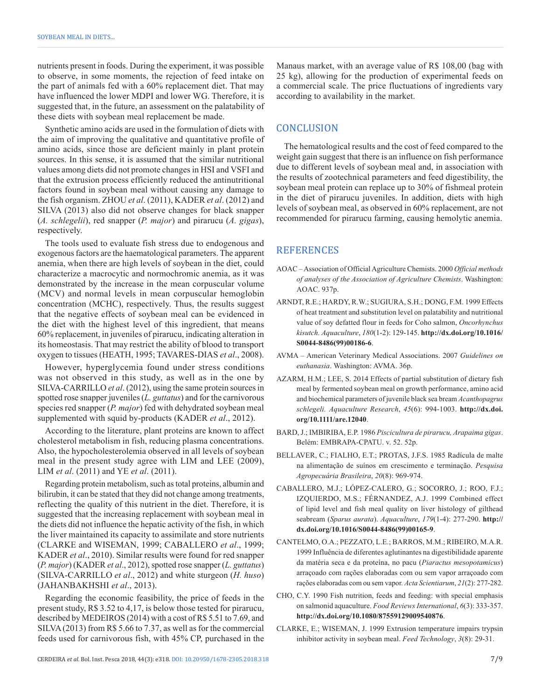nutrients present in foods. During the experiment, it was possible to observe, in some moments, the rejection of feed intake on the part of animals fed with a 60% replacement diet. That may have influenced the lower MDPI and lower WG. Therefore, it is suggested that, in the future, an assessment on the palatability of these diets with soybean meal replacement be made.

Synthetic amino acids are used in the formulation of diets with the aim of improving the qualitative and quantitative profile of amino acids, since those are deficient mainly in plant protein sources. In this sense, it is assumed that the similar nutritional values among diets did not promote changes in HSI and VSFI and that the extrusion process efficiently reduced the antinutritional factors found in soybean meal without causing any damage to the fish organism. ZHOU *et al*. (2011), KADER *et al*. (2012) and SILVA (2013) also did not observe changes for black snapper (*A. schlegelii*), red snapper (*P. major*) and pirarucu (*A. gigas*), respectively.

The tools used to evaluate fish stress due to endogenous and exogenous factors are the haematological parameters. The apparent anemia, when there are high levels of soybean in the diet, could characterize a macrocytic and normochromic anemia, as it was demonstrated by the increase in the mean corpuscular volume (MCV) and normal levels in mean corpuscular hemoglobin concentration (MCHC), respectively. Thus, the results suggest that the negative effects of soybean meal can be evidenced in the diet with the highest level of this ingredient, that means 60% replacement, in juveniles of pirarucu, indicating alteration in its homeostasis. That may restrict the ability of blood to transport oxygen to tissues (HEATH, 1995; TAVARES-DIAS *et al*., 2008).

However, hyperglycemia found under stress conditions was not observed in this study, as well as in the one by SILVA-CARRILLO *et al*. (2012), using the same protein sources in spotted rose snapper juveniles (*L. guttatus*) and for the carnivorous species red snapper (*P. major*) fed with dehydrated soybean meal supplemented with squid by-products (KADER *et al*., 2012).

According to the literature, plant proteins are known to affect cholesterol metabolism in fish, reducing plasma concentrations. Also, the hypocholesterolemia observed in all levels of soybean meal in the present study agree with LIM and LEE (2009), LIM *et al*. (2011) and YE *et al*. (2011).

Regarding protein metabolism, such as total proteins, albumin and bilirubin, it can be stated that they did not change among treatments, reflecting the quality of this nutrient in the diet. Therefore, it is suggested that the increasing replacement with soybean meal in the diets did not influence the hepatic activity of the fish, in which the liver maintained its capacity to assimilate and store nutrients (CLARKE and WISEMAN, 1999; CABALLERO *et al*., 1999; KADER *et al*., 2010). Similar results were found for red snapper (*P. major*) (KADER *et al*., 2012), spotted rose snapper (*L. guttatus*) (SILVA-CARRILLO *et al*., 2012) and white sturgeon (*H. huso*) (JAHANBAKHSHI *et al*., 2013).

Regarding the economic feasibility, the price of feeds in the present study, R\$ 3.52 to 4,17, is below those tested for pirarucu, described by MEDEIROS (2014) with a cost of R\$ 5.51 to 7.69, and SILVA (2013) from R\$ 5.66 to 7.37, as well as for the commercial feeds used for carnivorous fish, with 45% CP, purchased in the Manaus market, with an average value of R\$ 108,00 (bag with 25 kg), allowing for the production of experimental feeds on a commercial scale. The price fluctuations of ingredients vary according to availability in the market.

## **CONCLUSION**

The hematological results and the cost of feed compared to the weight gain suggest that there is an influence on fish performance due to different levels of soybean meal and, in association with the results of zootechnical parameters and feed digestibility, the soybean meal protein can replace up to 30% of fishmeal protein in the diet of pirarucu juveniles. In addition, diets with high levels of soybean meal, as observed in 60% replacement, are not recommended for pirarucu farming, causing hemolytic anemia.

# **REFERENCES**

- AOAC Association of Official Agriculture Chemists. 2000 *Official methods of analyses of the Association of Agriculture Chemists*. Washington: AOAC. 937p.
- ARNDT, R.E.; HARDY, R.W.; SUGIURA, S.H.; DONG, F.M. 1999 Effects of heat treatment and substitution level on palatability and nutritional value of soy defatted flour in feeds for Coho salmon, *Oncorhynchus kisutch. Aquaculture*, *180*(1-2): 129-145. **[http://dx.doi.org/10.1016/](https://doi.org/10.1016/S0044-8486(99)00186-6) [S0044-8486\(99\)00186-6](https://doi.org/10.1016/S0044-8486(99)00186-6)**.
- AVMA American Veterinary Medical Associations. 2007 *Guidelines on euthanasia*. Washington: AVMA. 36p.
- AZARM, H.M.; LEE, S. 2014 Effects of partial substitution of dietary fish meal by fermented soybean meal on growth performance, amino acid and biochemical parameters of juvenile black sea bream *Acanthopagrus schlegeli. Aquaculture Research*, *45*(6): 994-1003. **[http://dx.doi.](https://doi.org/10.1111/are.12040) [org/10.1111/are.12040](https://doi.org/10.1111/are.12040)**.
- BARD, J.; IMBIRIBA, E.P. 1986 *Piscicultura de pirarucu, Arapaima gigas*. Belém: EMBRAPA-CPATU. v. 52. 52p.
- BELLAVER, C.; FIALHO, E.T.; PROTAS, J.F.S. 1985 Radícula de malte na alimentação de suínos em crescimento e terminação. *Pesquisa Agropecuária Brasileira*, *20*(8): 969-974.
- CABALLERO, M.J.; LÓPEZ-CALERO, G.; SOCORRO, J.; ROO, F.J.; IZQUIERDO, M.S.; FÉRNANDEZ, A.J. 1999 Combined effect of lipid level and fish meal quality on liver histology of gilthead seabream (*Sparus aurata*). *Aquaculture*, *179*(1-4): 277-290. **[http://](https://doi.org/10.1016/S0044-8486(99)00165-9) [dx.doi.org/10.1016/S0044-8486\(99\)00165-9](https://doi.org/10.1016/S0044-8486(99)00165-9)**.
- CANTELMO, O.A.; PEZZATO, L.E.; BARROS, M.M.; RIBEIRO, M.A.R. 1999 Influência de diferentes aglutinantes na digestibilidade aparente da matéria seca e da proteína, no pacu (*Piaractus mesopotamicus*) arraçoado com rações elaboradas com ou sem vapor arraçoado com rações elaboradas com ou sem vapor. *Acta Scientiarum*, *21*(2): 277-282.
- CHO, C.Y. 1990 Fish nutrition, feeds and feeding: with special emphasis on salmonid aquaculture. *Food Reviews International*, *6*(3): 333-357. **[http://dx.doi.org/10.1080/87559129009540876](https://doi.org/10.1080/87559129009540876)**.
- CLARKE, E.; WISEMAN, J. 1999 Extrusion temperature impairs trypsin inhibitor activity in soybean meal. *Feed Technology*, *3*(8): 29-31.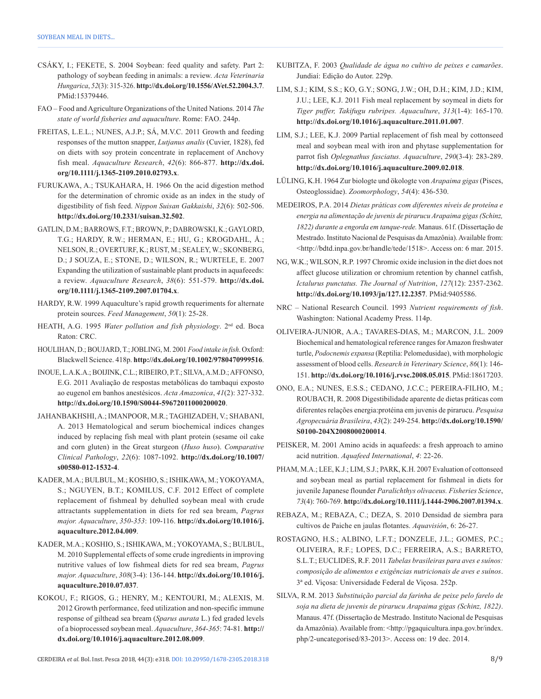- CSÁKY, I.; FEKETE, S. 2004 Soybean: feed quality and safety. Part 2: pathology of soybean feeding in animals: a review. *Acta Veterinaria Hungarica*, *52*(3): 315-326. **[http://dx.doi.org/10.1556/AVet.52.2004.3.7](https://doi.org/10.1556/AVet.52.2004.3.7)**. [PMid:15379446.](https://www.ncbi.nlm.nih.gov/entrez/query.fcgi?cmd=Retrieve&db=PubMed&list_uids=15379446&dopt=Abstract)
- FAO Food and Agriculture Organizations of the United Nations. 2014 *The state of world fisheries and aquaculture*. Rome: FAO. 244p.
- FREITAS, L.E.L.; NUNES, A.J.P.; SÁ, M.V.C. 2011 Growth and feeding responses of the mutton snapper, *Lutjanus analis* (Cuvier, 1828), fed on diets with soy protein concentrate in replacement of Anchovy fish meal. *Aquaculture Research*, *42*(6): 866-877. **[http://dx.doi.](https://doi.org/10.1111/j.1365-2109.2010.02793.x) [org/10.1111/j.1365-2109.2010.02793.x](https://doi.org/10.1111/j.1365-2109.2010.02793.x)**.
- FURUKAWA, A.; TSUKAHARA, H. 1966 On the acid digestion method for the determination of chromic oxide as an index in the study of digestibility of fish feed. *Nippon Suisan Gakkaishi*, *32*(6): 502-506. **[http://dx.doi.org/10.2331/suisan.32.502](https://doi.org/10.2331/suisan.32.502)**.
- GATLIN, D.M.; BARROWS, F.T.; BROWN, P.; DABROWSKI, K.; GAYLORD, T.G.; HARDY, R.W.; HERMAN, E.; HU, G.; KROGDAHL, Å.; NELSON, R.; OVERTURF, K.; RUST, M.; SEALEY, W.; SKONBERG, D.; J SOUZA, E.; STONE, D.; WILSON, R.; WURTELE, E. 2007 Expanding the utilization of sustainable plant products in aquafeeeds: a review. *Aquaculture Research*, *38*(6): 551-579. **[http://dx.doi.](https://doi.org/10.1111/j.1365-2109.2007.01704.x) [org/10.1111/j.1365-2109.2007.01704.x](https://doi.org/10.1111/j.1365-2109.2007.01704.x)**.
- HARDY, R.W. 1999 Aquaculture's rapid growth requeriments for alternate protein sources. *Feed Management*, *50*(1): 25-28.
- HEATH, A.G. 1995 *Water pollution and fish physiology*. 2nd ed. Boca Raton: CRC.
- HOULIHAN, D.; BOUJARD, T.; JOBLING, M. 2001 *Food intake in fish*. Oxford: Blackwell Science. 418p. **[http://dx.doi.org/10.1002/9780470999516](https://doi.org/10.1002/9780470999516)**.
- INOUE, L.A.K.A.; BOIJINK, C.L.; RIBEIRO, P.T.; SILVA, A.M.D.; AFFONSO, E.G. 2011 Avaliação de respostas metabólicas do tambaqui exposto ao eugenol em banhos anestésicos. *Acta Amazonica*, *41*(2): 327-332. **[http://dx.doi.org/10.1590/S0044-59672011000200020](https://doi.org/10.1590/S0044-59672011000200020)**.
- JAHANBAKHSHI, A.; IMANPOOR, M.R.; TAGHIZADEH, V.; SHABANI, A. 2013 Hematological and serum biochemical indices changes induced by replacing fish meal with plant protein (sesame oil cake and corn gluten) in the Great sturgeon (*Huso huso*). *Comparative Clinical Pathology*, *22*(6): 1087-1092. **[http://dx.doi.org/10.1007/](https://doi.org/10.1007/s00580-012-1532-4) [s00580-012-1532-4](https://doi.org/10.1007/s00580-012-1532-4)**.
- KADER, M.A.; BULBUL, M.; KOSHIO, S.; ISHIKAWA, M.; YOKOYAMA, S.; NGUYEN, B.T.; KOMILUS, C.F. 2012 Effect of complete replacement of fishmeal by dehulled soybean meal with crude attractants supplementation in diets for red sea bream, *Pagrus major. Aquaculture*, *350-353*: 109-116. **[http://dx.doi.org/10.1016/j.](https://doi.org/10.1016/j.aquaculture.2012.04.009) [aquaculture.2012.04.009](https://doi.org/10.1016/j.aquaculture.2012.04.009)**.
- KADER, M.A.; KOSHIO, S.; ISHIKAWA, M.; YOKOYAMA, S.; BULBUL, M. 2010 Supplemental effects of some crude ingredients in improving nutritive values of low fishmeal diets for red sea bream, *Pagrus major. Aquaculture*, *308*(3-4): 136-144. **[http://dx.doi.org/10.1016/j.](https://doi.org/10.1016/j.aquaculture.2010.07.037) [aquaculture.2010.07.037](https://doi.org/10.1016/j.aquaculture.2010.07.037)**.
- KOKOU, F.; RIGOS, G.; HENRY, M.; KENTOURI, M.; ALEXIS, M. 2012 Growth performance, feed utilization and non-specific immune response of gilthead sea bream (*Sparus aurata* L.) fed graded levels of a bioprocessed soybean meal. *Aquaculture*, *364-365*: 74-81. **[http://](https://doi.org/10.1016/j.aquaculture.2012.08.009) [dx.doi.org/10.1016/j.aquaculture.2012.08.009](https://doi.org/10.1016/j.aquaculture.2012.08.009)**.
- KUBITZA, F. 2003 *Qualidade de água no cultivo de peixes e camarões*. Jundiaí: Edição do Autor. 229p.
- LIM, S.J.; KIM, S.S.; KO, G.Y.; SONG, J.W.; OH, D.H.; KIM, J.D.; KIM, J.U.; LEE, K.J. 2011 Fish meal replacement by soymeal in diets for *Tiger puffer, Takifugu rubripes. Aquaculture*, *313*(1-4): 165-170. **[http://dx.doi.org/10.1016/j.aquaculture.2011.01.007](https://doi.org/10.1016/j.aquaculture.2011.01.007)**.
- LIM, S.J.; LEE, K.J. 2009 Partial replacement of fish meal by cottonseed meal and soybean meal with iron and phytase supplementation for parrot fish *Oplegnathus fasciatus. Aquaculture*, *290*(3-4): 283-289. **[http://dx.doi.org/10.1016/j.aquaculture.2009.02.018](https://doi.org/10.1016/j.aquaculture.2009.02.018)**.
- LÜLING, K.H. 1964 Zur biologte und ökologte von *Arapaima gigas* (Pisces, Osteoglossidae). *Zoomorphology*, *54*(4): 436-530.
- MEDEIROS, P.A. 2014 *Dietas práticas com diferentes níveis de proteína e energia na alimentação de juvenis de pirarucu Arapaima gigas (Schinz, 1822) durante a engorda em tanque-rede.* Manaus. 61f. (Dissertação de Mestrado. Instituto Nacional de Pesquisas da Amazônia). Available from: <http://bdtd.inpa.gov.br/handle/tede/1518>. Access on: 6 mar. 2015.
- NG, W.K.; WILSON, R.P. 1997 Chromic oxide inclusion in the diet does not affect glucose utilization or chromium retention by channel catfish, *Ictalurus punctatus. The Journal of Nutrition*, *127*(12): 2357-2362. **[http://dx.doi.org/10.1093/jn/127.12.2357](https://doi.org/10.1093/jn/127.12.2357)**. [PMid:9405586.](https://www.ncbi.nlm.nih.gov/entrez/query.fcgi?cmd=Retrieve&db=PubMed&list_uids=9405586&dopt=Abstract)
- NRC National Research Council. 1993 *Nutrient requirements of fish*. Washington: National Academy Press. 114p.
- OLIVEIRA-JUNIOR, A.A.; TAVARES-DIAS, M.; MARCON, J.L. 2009 Biochemical and hematological reference ranges for Amazon freshwater turtle, *Podocnemis expansa* (Reptilia: Pelomedusidae), with morphologic assessment of blood cells. *Research in Veterinary Science*, *86*(1): 146- 151. **[http://dx.doi.org/10.1016/j.rvsc.2008.05.015](https://doi.org/10.1016/j.rvsc.2008.05.015)**. [PMid:18617203.](https://www.ncbi.nlm.nih.gov/entrez/query.fcgi?cmd=Retrieve&db=PubMed&list_uids=18617203&dopt=Abstract)
- ONO, E.A.; NUNES, E.S.S.; CEDANO, J.C.C.; PEREIRA-FILHO, M.; ROUBACH, R. 2008 Digestibilidade aparente de dietas práticas com diferentes relações energia:protéina em juvenis de pirarucu. *Pesquisa Agropecuária Brasileira*, *43*(2): 249-254. **[http://dx.doi.org/10.1590/](https://doi.org/10.1590/S0100-204X2008000200014) [S0100-204X2008000200014](https://doi.org/10.1590/S0100-204X2008000200014)**.
- PEISKER, M. 2001 Amino acids in aquafeeds: a fresh approach to amino acid nutrition. *Aquafeed International*, *4*: 22-26.
- PHAM, M.A.; LEE, K.J.; LIM, S.J.; PARK, K.H. 2007 Evaluation of cottonseed and soybean meal as partial replacement for fishmeal in diets for juvenile Japanese flounder *Paralichthys olivaceus. Fisheries Science*, *73*(4): 760-769. **[http://dx.doi.org/10.1111/j.1444-2906.2007.01394.x](https://doi.org/10.1111/j.1444-2906.2007.01394.x)**.
- REBAZA, M.; REBAZA, C.; DEZA, S. 2010 Densidad de siembra para cultivos de Paiche en jaulas flotantes. *Aquavisión*, 6: 26-27.
- ROSTAGNO, H.S.; ALBINO, L.F.T.; DONZELE, J.L.; GOMES, P.C.; OLIVEIRA, R.F.; LOPES, D.C.; FERREIRA, A.S.; BARRETO, S.L.T.; EUCLIDES, R.F. 2011 *Tabelas brasileiras para aves e suínos: composição de alimentos e exigências nutricionais de aves e suínos*. 3ª ed. Viçosa: Universidade Federal de Viçosa. 252p.
- SILVA, R.M. 2013 *Substituição parcial da farinha de peixe pelo farelo de soja na dieta de juvenis de pirarucu Arapaima gigas (Schinz, 1822)*. Manaus. 47f. (Dissertação de Mestrado. Instituto Nacional de Pesquisas da Amazônia). Available from: <http://pgaquicultura.inpa.gov.br/index. php/2-uncategorised/83-2013>. Access on: 19 dec. 2014.